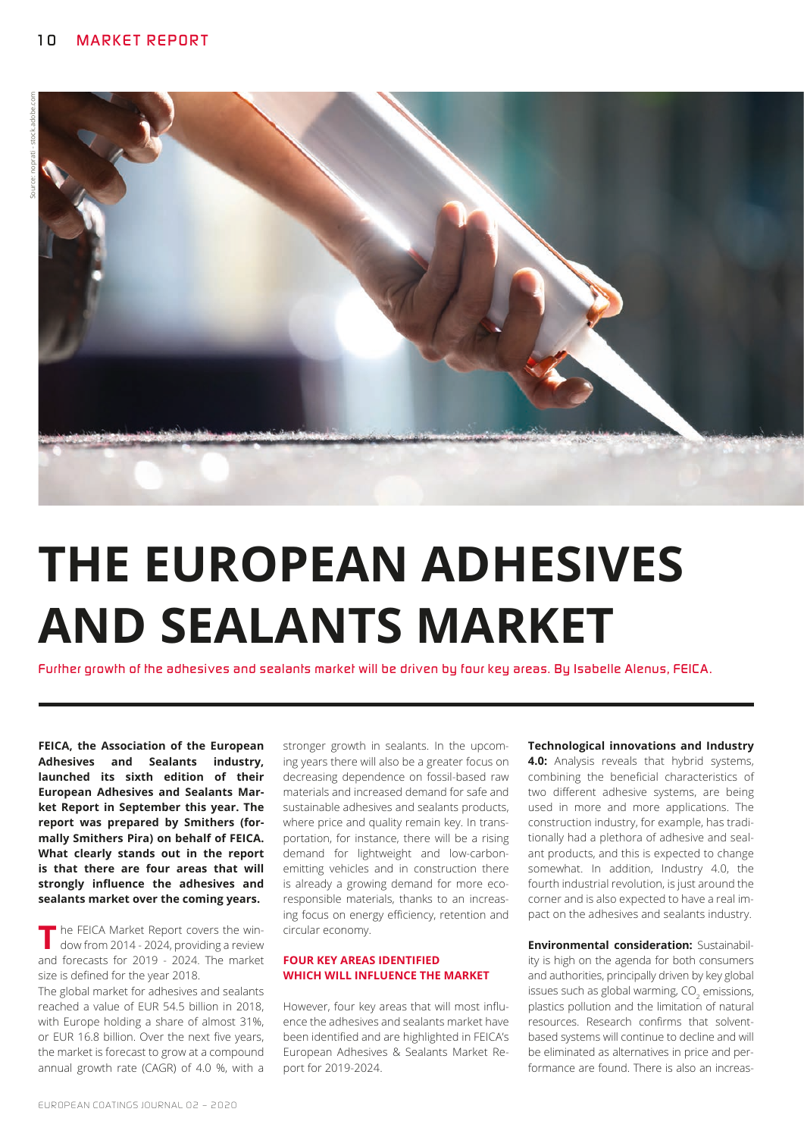

# **THE EUROPEAN ADHESIVES AND SEALANTS MARKET**

*Further growth of the adhesives and sealants market will be driven by four key areas. By Isabelle Alenus, FEICA.*

**FEICA, the Association of the European Adhesives and Sealants industry, launched its sixth edition of their European Adhesives and Sealants Market Report in September this year. The report was prepared by Smithers (formally Smithers Pira) on behalf of FEICA. What clearly stands out in the report is that there are four areas that will strongly influence the adhesives and sealants market over the coming years.**

**T** he FEICA Market Report covers the win-<br>dow from 2014 - 2024, providing a review and forecasts for 2019 - 2024. The market size is defined for the year 2018.

The global market for adhesives and sealants reached a value of EUR 54.5 billion in 2018, with Europe holding a share of almost 31%, or EUR 16.8 billion. Over the next five years, the market is forecast to grow at a compound annual growth rate (CAGR) of 4.0 %, with a

stronger growth in sealants. In the upcoming years there will also be a greater focus on decreasing dependence on fossil-based raw materials and increased demand for safe and sustainable adhesives and sealants products, where price and quality remain key. In transportation, for instance, there will be a rising demand for lightweight and low-carbonemitting vehicles and in construction there is already a growing demand for more ecoresponsible materials, thanks to an increasing focus on energy efficiency, retention and circular economy.

### **FOUR KEY AREAS IDENTIFIED WHICH WILL INFLUENCE THE MARKET**

However, four key areas that will most influence the adhesives and sealants market have been identified and are highlighted in FEICA's European Adhesives & Sealants Market Report for 2019-2024.

#### **Technological innovations and Industry**

**4.0:** Analysis reveals that hybrid systems, combining the beneficial characteristics of two different adhesive systems, are being used in more and more applications. The construction industry, for example, has traditionally had a plethora of adhesive and sealant products, and this is expected to change somewhat. In addition, Industry 4.0, the fourth industrial revolution, is just around the corner and is also expected to have a real impact on the adhesives and sealants industry.

**Environmental consideration:** Sustainability is high on the agenda for both consumers and authorities, principally driven by key global issues such as global warming,  $\mathrm{CO}_2$  emissions, plastics pollution and the limitation of natural resources. Research confirms that solventbased systems will continue to decline and will be eliminated as alternatives in price and performance are found. There is also an increas-